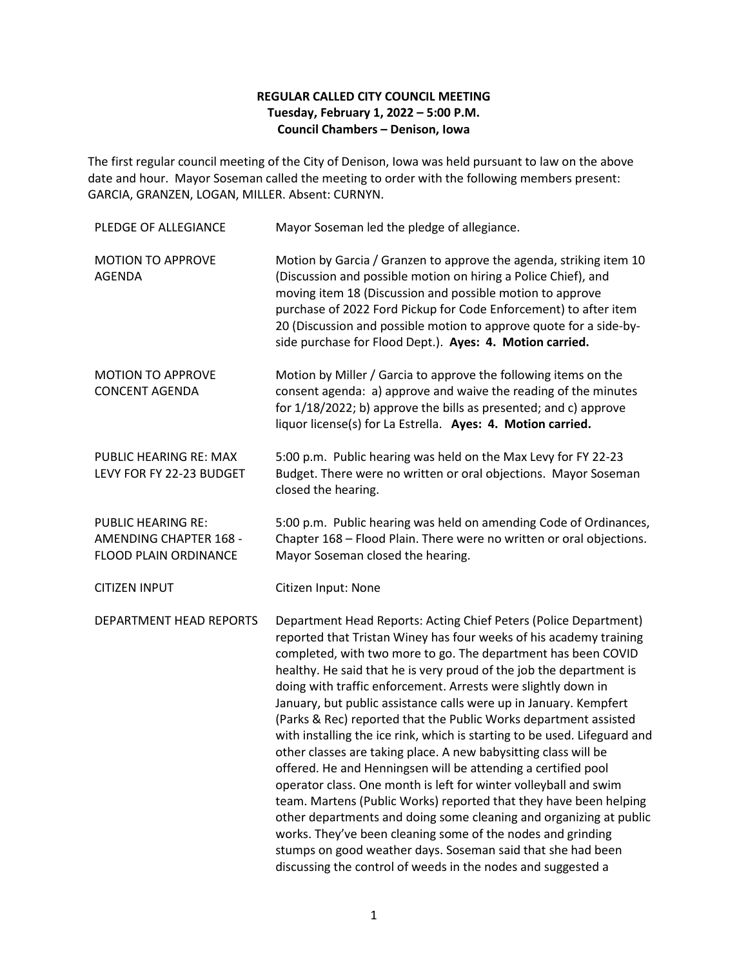## **REGULAR CALLED CITY COUNCIL MEETING Tuesday, February 1, 2022 – 5:00 P.M. Council Chambers – Denison, Iowa**

The first regular council meeting of the City of Denison, Iowa was held pursuant to law on the above date and hour. Mayor Soseman called the meeting to order with the following members present: GARCIA, GRANZEN, LOGAN, MILLER. Absent: CURNYN.

| PLEDGE OF ALLEGIANCE                                                                       | Mayor Soseman led the pledge of allegiance.                                                                                                                                                                                                                                                                                                                                                                                                                                                                                                                                                                                                                                                                                                                                                                                                                                                                                                                                                                                                                                                                            |
|--------------------------------------------------------------------------------------------|------------------------------------------------------------------------------------------------------------------------------------------------------------------------------------------------------------------------------------------------------------------------------------------------------------------------------------------------------------------------------------------------------------------------------------------------------------------------------------------------------------------------------------------------------------------------------------------------------------------------------------------------------------------------------------------------------------------------------------------------------------------------------------------------------------------------------------------------------------------------------------------------------------------------------------------------------------------------------------------------------------------------------------------------------------------------------------------------------------------------|
| <b>MOTION TO APPROVE</b><br><b>AGENDA</b>                                                  | Motion by Garcia / Granzen to approve the agenda, striking item 10<br>(Discussion and possible motion on hiring a Police Chief), and<br>moving item 18 (Discussion and possible motion to approve<br>purchase of 2022 Ford Pickup for Code Enforcement) to after item<br>20 (Discussion and possible motion to approve quote for a side-by-<br>side purchase for Flood Dept.). Ayes: 4. Motion carried.                                                                                                                                                                                                                                                                                                                                                                                                                                                                                                                                                                                                                                                                                                                |
| <b>MOTION TO APPROVE</b><br><b>CONCENT AGENDA</b>                                          | Motion by Miller / Garcia to approve the following items on the<br>consent agenda: a) approve and waive the reading of the minutes<br>for 1/18/2022; b) approve the bills as presented; and c) approve<br>liquor license(s) for La Estrella. Ayes: 4. Motion carried.                                                                                                                                                                                                                                                                                                                                                                                                                                                                                                                                                                                                                                                                                                                                                                                                                                                  |
| PUBLIC HEARING RE: MAX<br>LEVY FOR FY 22-23 BUDGET                                         | 5:00 p.m. Public hearing was held on the Max Levy for FY 22-23<br>Budget. There were no written or oral objections. Mayor Soseman<br>closed the hearing.                                                                                                                                                                                                                                                                                                                                                                                                                                                                                                                                                                                                                                                                                                                                                                                                                                                                                                                                                               |
| <b>PUBLIC HEARING RE:</b><br><b>AMENDING CHAPTER 168 -</b><br><b>FLOOD PLAIN ORDINANCE</b> | 5:00 p.m. Public hearing was held on amending Code of Ordinances,<br>Chapter 168 - Flood Plain. There were no written or oral objections.<br>Mayor Soseman closed the hearing.                                                                                                                                                                                                                                                                                                                                                                                                                                                                                                                                                                                                                                                                                                                                                                                                                                                                                                                                         |
| <b>CITIZEN INPUT</b>                                                                       | Citizen Input: None                                                                                                                                                                                                                                                                                                                                                                                                                                                                                                                                                                                                                                                                                                                                                                                                                                                                                                                                                                                                                                                                                                    |
| DEPARTMENT HEAD REPORTS                                                                    | Department Head Reports: Acting Chief Peters (Police Department)<br>reported that Tristan Winey has four weeks of his academy training<br>completed, with two more to go. The department has been COVID<br>healthy. He said that he is very proud of the job the department is<br>doing with traffic enforcement. Arrests were slightly down in<br>January, but public assistance calls were up in January. Kempfert<br>(Parks & Rec) reported that the Public Works department assisted<br>with installing the ice rink, which is starting to be used. Lifeguard and<br>other classes are taking place. A new babysitting class will be<br>offered. He and Henningsen will be attending a certified pool<br>operator class. One month is left for winter volleyball and swim<br>team. Martens (Public Works) reported that they have been helping<br>other departments and doing some cleaning and organizing at public<br>works. They've been cleaning some of the nodes and grinding<br>stumps on good weather days. Soseman said that she had been<br>discussing the control of weeds in the nodes and suggested a |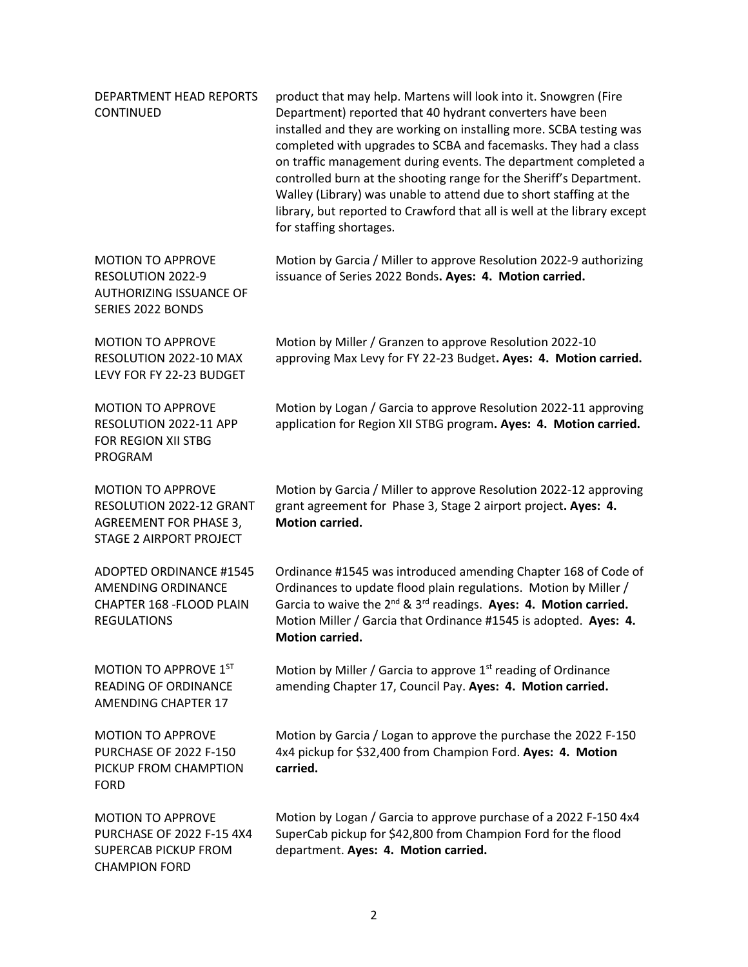| DEPARTMENT HEAD REPORTS<br><b>CONTINUED</b>                                                                             | product that may help. Martens will look into it. Snowgren (Fire<br>Department) reported that 40 hydrant converters have been<br>installed and they are working on installing more. SCBA testing was<br>completed with upgrades to SCBA and facemasks. They had a class<br>on traffic management during events. The department completed a<br>controlled burn at the shooting range for the Sheriff's Department.<br>Walley (Library) was unable to attend due to short staffing at the<br>library, but reported to Crawford that all is well at the library except<br>for staffing shortages. |
|-------------------------------------------------------------------------------------------------------------------------|------------------------------------------------------------------------------------------------------------------------------------------------------------------------------------------------------------------------------------------------------------------------------------------------------------------------------------------------------------------------------------------------------------------------------------------------------------------------------------------------------------------------------------------------------------------------------------------------|
| <b>MOTION TO APPROVE</b><br>RESOLUTION 2022-9<br><b>AUTHORIZING ISSUANCE OF</b><br>SERIES 2022 BONDS                    | Motion by Garcia / Miller to approve Resolution 2022-9 authorizing<br>issuance of Series 2022 Bonds. Ayes: 4. Motion carried.                                                                                                                                                                                                                                                                                                                                                                                                                                                                  |
| <b>MOTION TO APPROVE</b><br>RESOLUTION 2022-10 MAX<br>LEVY FOR FY 22-23 BUDGET                                          | Motion by Miller / Granzen to approve Resolution 2022-10<br>approving Max Levy for FY 22-23 Budget. Ayes: 4. Motion carried.                                                                                                                                                                                                                                                                                                                                                                                                                                                                   |
| <b>MOTION TO APPROVE</b><br>RESOLUTION 2022-11 APP<br>FOR REGION XII STBG<br>PROGRAM                                    | Motion by Logan / Garcia to approve Resolution 2022-11 approving<br>application for Region XII STBG program. Ayes: 4. Motion carried.                                                                                                                                                                                                                                                                                                                                                                                                                                                          |
| <b>MOTION TO APPROVE</b><br>RESOLUTION 2022-12 GRANT<br><b>AGREEMENT FOR PHASE 3,</b><br><b>STAGE 2 AIRPORT PROJECT</b> | Motion by Garcia / Miller to approve Resolution 2022-12 approving<br>grant agreement for Phase 3, Stage 2 airport project. Ayes: 4.<br><b>Motion carried.</b>                                                                                                                                                                                                                                                                                                                                                                                                                                  |
| <b>ADOPTED ORDINANCE #1545</b><br>AMENDING ORDINANCE<br>CHAPTER 168 - FLOOD PLAIN<br><b>REGULATIONS</b>                 | Ordinance #1545 was introduced amending Chapter 168 of Code of<br>Ordinances to update flood plain regulations. Motion by Miller /<br>Garcia to waive the 2 <sup>nd</sup> & 3 <sup>rd</sup> readings. Ayes: 4. Motion carried.<br>Motion Miller / Garcia that Ordinance #1545 is adopted. Ayes: 4.<br><b>Motion carried.</b>                                                                                                                                                                                                                                                                   |
| MOTION TO APPROVE 1ST<br><b>READING OF ORDINANCE</b><br><b>AMENDING CHAPTER 17</b>                                      | Motion by Miller / Garcia to approve $1st$ reading of Ordinance<br>amending Chapter 17, Council Pay. Ayes: 4. Motion carried.                                                                                                                                                                                                                                                                                                                                                                                                                                                                  |
| <b>MOTION TO APPROVE</b><br><b>PURCHASE OF 2022 F-150</b><br>PICKUP FROM CHAMPTION<br><b>FORD</b>                       | Motion by Garcia / Logan to approve the purchase the 2022 F-150<br>4x4 pickup for \$32,400 from Champion Ford. Ayes: 4. Motion<br>carried.                                                                                                                                                                                                                                                                                                                                                                                                                                                     |
| <b>MOTION TO APPROVE</b><br>PURCHASE OF 2022 F-15 4X4<br><b>SUPERCAB PICKUP FROM</b><br><b>CHAMPION FORD</b>            | Motion by Logan / Garcia to approve purchase of a 2022 F-150 4x4<br>SuperCab pickup for \$42,800 from Champion Ford for the flood<br>department. Ayes: 4. Motion carried.                                                                                                                                                                                                                                                                                                                                                                                                                      |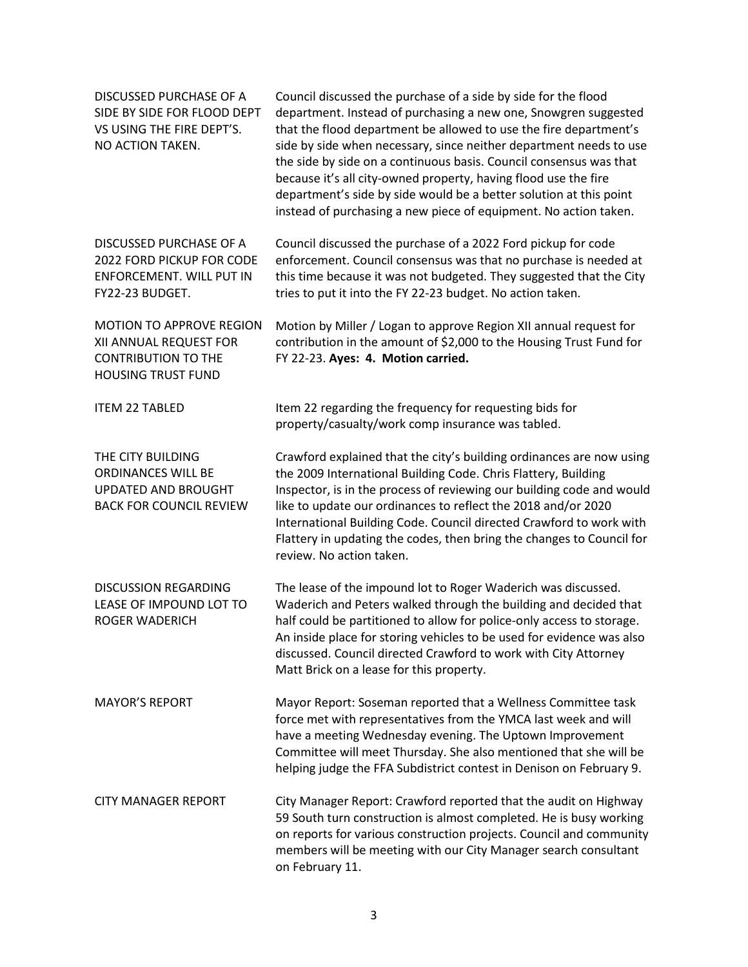| DISCUSSED PURCHASE OF A<br>SIDE BY SIDE FOR FLOOD DEPT<br>VS USING THE FIRE DEPT'S.<br>NO ACTION TAKEN.              | Council discussed the purchase of a side by side for the flood<br>department. Instead of purchasing a new one, Snowgren suggested<br>that the flood department be allowed to use the fire department's<br>side by side when necessary, since neither department needs to use<br>the side by side on a continuous basis. Council consensus was that<br>because it's all city-owned property, having flood use the fire<br>department's side by side would be a better solution at this point<br>instead of purchasing a new piece of equipment. No action taken. |
|----------------------------------------------------------------------------------------------------------------------|-----------------------------------------------------------------------------------------------------------------------------------------------------------------------------------------------------------------------------------------------------------------------------------------------------------------------------------------------------------------------------------------------------------------------------------------------------------------------------------------------------------------------------------------------------------------|
| DISCUSSED PURCHASE OF A<br>2022 FORD PICKUP FOR CODE<br>ENFORCEMENT. WILL PUT IN<br>FY22-23 BUDGET.                  | Council discussed the purchase of a 2022 Ford pickup for code<br>enforcement. Council consensus was that no purchase is needed at<br>this time because it was not budgeted. They suggested that the City<br>tries to put it into the FY 22-23 budget. No action taken.                                                                                                                                                                                                                                                                                          |
| <b>MOTION TO APPROVE REGION</b><br>XII ANNUAL REQUEST FOR<br><b>CONTRIBUTION TO THE</b><br><b>HOUSING TRUST FUND</b> | Motion by Miller / Logan to approve Region XII annual request for<br>contribution in the amount of \$2,000 to the Housing Trust Fund for<br>FY 22-23. Ayes: 4. Motion carried.                                                                                                                                                                                                                                                                                                                                                                                  |
| <b>ITEM 22 TABLED</b>                                                                                                | Item 22 regarding the frequency for requesting bids for<br>property/casualty/work comp insurance was tabled.                                                                                                                                                                                                                                                                                                                                                                                                                                                    |
| THE CITY BUILDING<br><b>ORDINANCES WILL BE</b><br><b>UPDATED AND BROUGHT</b><br><b>BACK FOR COUNCIL REVIEW</b>       | Crawford explained that the city's building ordinances are now using<br>the 2009 International Building Code. Chris Flattery, Building<br>Inspector, is in the process of reviewing our building code and would<br>like to update our ordinances to reflect the 2018 and/or 2020<br>International Building Code. Council directed Crawford to work with<br>Flattery in updating the codes, then bring the changes to Council for<br>review. No action taken.                                                                                                    |
| <b>DISCUSSION REGARDING</b><br>LEASE OF IMPOUND LOT TO<br><b>ROGER WADERICH</b>                                      | The lease of the impound lot to Roger Waderich was discussed.<br>Waderich and Peters walked through the building and decided that<br>half could be partitioned to allow for police-only access to storage.<br>An inside place for storing vehicles to be used for evidence was also<br>discussed. Council directed Crawford to work with City Attorney<br>Matt Brick on a lease for this property.                                                                                                                                                              |
| <b>MAYOR'S REPORT</b>                                                                                                | Mayor Report: Soseman reported that a Wellness Committee task<br>force met with representatives from the YMCA last week and will<br>have a meeting Wednesday evening. The Uptown Improvement<br>Committee will meet Thursday. She also mentioned that she will be<br>helping judge the FFA Subdistrict contest in Denison on February 9.                                                                                                                                                                                                                        |
| <b>CITY MANAGER REPORT</b>                                                                                           | City Manager Report: Crawford reported that the audit on Highway<br>59 South turn construction is almost completed. He is busy working<br>on reports for various construction projects. Council and community<br>members will be meeting with our City Manager search consultant<br>on February 11.                                                                                                                                                                                                                                                             |